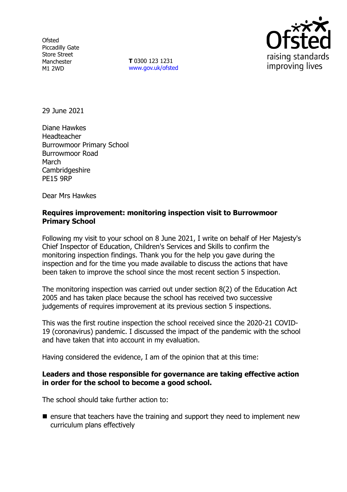**Ofsted** Piccadilly Gate Store Street Manchester M1 2WD

**T** 0300 123 1231 [www.gov.uk/ofsted](http://www.gov.uk/ofsted)



29 June 2021

Diane Hawkes Headteacher Burrowmoor Primary School Burrowmoor Road March Cambridgeshire PE15 9RP

Dear Mrs Hawkes

## **Requires improvement: monitoring inspection visit to Burrowmoor Primary School**

Following my visit to your school on 8 June 2021, I write on behalf of Her Majesty's Chief Inspector of Education, Children's Services and Skills to confirm the monitoring inspection findings. Thank you for the help you gave during the inspection and for the time you made available to discuss the actions that have been taken to improve the school since the most recent section 5 inspection.

The monitoring inspection was carried out under section 8(2) of the Education Act 2005 and has taken place because the school has received two successive judgements of requires improvement at its previous section 5 inspections.

This was the first routine inspection the school received since the 2020-21 COVID-19 (coronavirus) pandemic. I discussed the impact of the pandemic with the school and have taken that into account in my evaluation.

Having considered the evidence, I am of the opinion that at this time:

## **Leaders and those responsible for governance are taking effective action in order for the school to become a good school.**

The school should take further action to:

 $\blacksquare$  ensure that teachers have the training and support they need to implement new curriculum plans effectively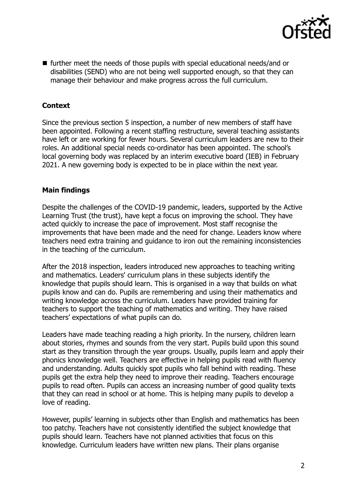

 further meet the needs of those pupils with special educational needs/and or disabilities (SEND) who are not being well supported enough, so that they can manage their behaviour and make progress across the full curriculum.

# **Context**

Since the previous section 5 inspection, a number of new members of staff have been appointed. Following a recent staffing restructure, several teaching assistants have left or are working for fewer hours. Several curriculum leaders are new to their roles. An additional special needs co-ordinator has been appointed. The school's local governing body was replaced by an interim executive board (IEB) in February 2021. A new governing body is expected to be in place within the next year.

## **Main findings**

Despite the challenges of the COVID-19 pandemic, leaders, supported by the Active Learning Trust (the trust), have kept a focus on improving the school. They have acted quickly to increase the pace of improvement. Most staff recognise the improvements that have been made and the need for change. Leaders know where teachers need extra training and guidance to iron out the remaining inconsistencies in the teaching of the curriculum.

After the 2018 inspection, leaders introduced new approaches to teaching writing and mathematics. Leaders' curriculum plans in these subjects identify the knowledge that pupils should learn. This is organised in a way that builds on what pupils know and can do. Pupils are remembering and using their mathematics and writing knowledge across the curriculum. Leaders have provided training for teachers to support the teaching of mathematics and writing. They have raised teachers' expectations of what pupils can do.

Leaders have made teaching reading a high priority. In the nursery, children learn about stories, rhymes and sounds from the very start. Pupils build upon this sound start as they transition through the year groups. Usually, pupils learn and apply their phonics knowledge well. Teachers are effective in helping pupils read with fluency and understanding. Adults quickly spot pupils who fall behind with reading. These pupils get the extra help they need to improve their reading. Teachers encourage pupils to read often. Pupils can access an increasing number of good quality texts that they can read in school or at home. This is helping many pupils to develop a love of reading.

However, pupils' learning in subjects other than English and mathematics has been too patchy. Teachers have not consistently identified the subject knowledge that pupils should learn. Teachers have not planned activities that focus on this knowledge. Curriculum leaders have written new plans. Their plans organise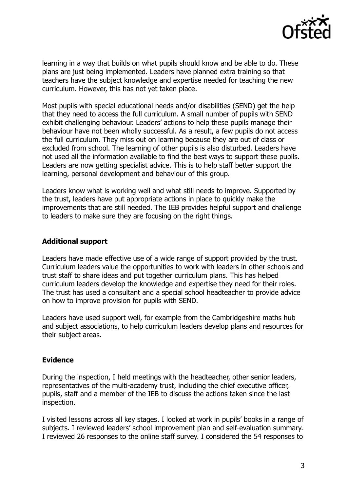

learning in a way that builds on what pupils should know and be able to do. These plans are just being implemented. Leaders have planned extra training so that teachers have the subject knowledge and expertise needed for teaching the new curriculum. However, this has not yet taken place.

Most pupils with special educational needs and/or disabilities (SEND) get the help that they need to access the full curriculum. A small number of pupils with SEND exhibit challenging behaviour. Leaders' actions to help these pupils manage their behaviour have not been wholly successful. As a result, a few pupils do not access the full curriculum. They miss out on learning because they are out of class or excluded from school. The learning of other pupils is also disturbed. Leaders have not used all the information available to find the best ways to support these pupils. Leaders are now getting specialist advice. This is to help staff better support the learning, personal development and behaviour of this group.

Leaders know what is working well and what still needs to improve. Supported by the trust, leaders have put appropriate actions in place to quickly make the improvements that are still needed. The IEB provides helpful support and challenge to leaders to make sure they are focusing on the right things.

### **Additional support**

Leaders have made effective use of a wide range of support provided by the trust. Curriculum leaders value the opportunities to work with leaders in other schools and trust staff to share ideas and put together curriculum plans. This has helped curriculum leaders develop the knowledge and expertise they need for their roles. The trust has used a consultant and a special school headteacher to provide advice on how to improve provision for pupils with SEND.

Leaders have used support well, for example from the Cambridgeshire maths hub and subject associations, to help curriculum leaders develop plans and resources for their subject areas.

## **Evidence**

During the inspection, I held meetings with the headteacher, other senior leaders, representatives of the multi-academy trust, including the chief executive officer, pupils, staff and a member of the IEB to discuss the actions taken since the last inspection.

I visited lessons across all key stages. I looked at work in pupils' books in a range of subjects. I reviewed leaders' school improvement plan and self-evaluation summary. I reviewed 26 responses to the online staff survey. I considered the 54 responses to